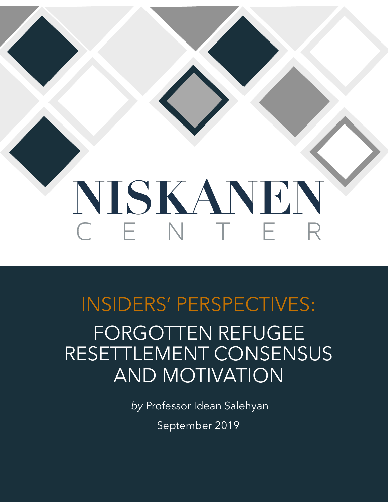# NISKANEN  $F N T F$  $\bigcap$

# INSIDERS' PERSPECTIVES: FORGOTTEN REFUGEE RESETTLEMENT CONSENSUS AND MOTIVATION

*by* Professor Idean Salehyan

September 2019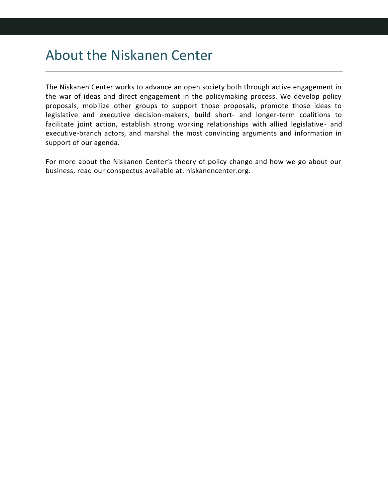## About the Niskanen Center

The Niskanen Center works to advance an open society both through active engagement in the war of ideas and direct engagement in the policymaking process. We develop policy proposals, mobilize other groups to support those proposals, promote those ideas to legislative and executive decision-makers, build short- and longer-term coalitions to facilitate joint action, establish strong working relationships with allied legislative- and executive-branch actors, and marshal the most convincing arguments and information in support of our agenda.

For more about the Niskanen Center's theory of policy change and how we go about our business, [read our conspectus](https://niskanencenter.org/wp-content/uploads/2018/01/Niskanen-conspectus-2017-final-1.pdf) available at: niskanencenter.org.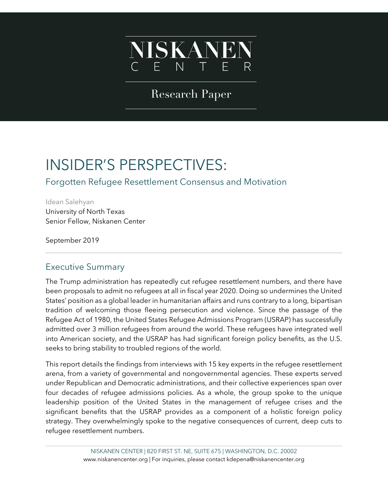

## Research Paper

# INSIDER'S PERSPECTIVES:

Forgotten Refugee Resettlement Consensus and Motivation

Idean Salehyan University of North Texas Senior Fellow, Niskanen Center

September 2019

#### Executive Summary

The Trump administration has repeatedly cut refugee resettlement numbers, and there have been proposals to admit no refugees at all in fiscal year 2020. Doing so undermines the United States' position as a global leader in humanitarian affairs and runs contrary to a long, bipartisan tradition of welcoming those fleeing persecution and violence. Since the passage of the Refugee Act of 1980, the United States Refugee Admissions Program (USRAP) has successfully admitted over 3 million refugees from around the world. These refugees have integrated well into American society, and the USRAP has had significant foreign policy benefits, as the U.S. seeks to bring stability to troubled regions of the world.

This report details the findings from interviews with 15 key experts in the refugee resettlement arena, from a variety of governmental and nongovernmental agencies. These experts served under Republican and Democratic administrations, and their collective experiences span over four decades of refugee admissions policies. As a whole, the group spoke to the unique leadership position of the United States in the management of refugee crises and the significant benefits that the USRAP provides as a component of a holistic foreign policy strategy. They overwhelmingly spoke to the negative consequences of current, deep cuts to refugee resettlement numbers.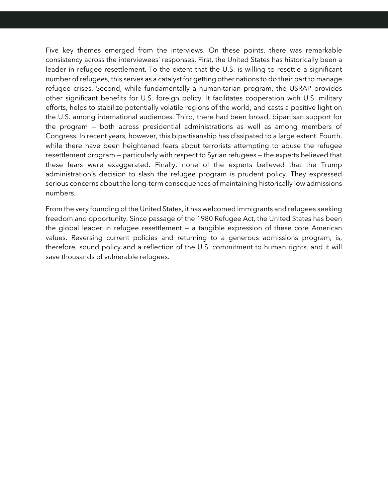Five key themes emerged from the interviews. On these points, there was remarkable consistency across the interviewees' responses. First, the United States has historically been a leader in refugee resettlement. To the extent that the U.S. is willing to resettle a significant number of refugees, this serves as a catalyst for getting other nations to do their part to manage refugee crises. Second, while fundamentally a humanitarian program, the USRAP provides other significant benefits for U.S. foreign policy. It facilitates cooperation with U.S. military efforts, helps to stabilize potentially volatile regions of the world, and casts a positive light on the U.S. among international audiences. Third, there had been broad, bipartisan support for the program — both across presidential administrations as well as among members of Congress. In recent years, however, this bipartisanship has dissipated to a large extent. Fourth, while there have been heightened fears about terrorists attempting to abuse the refugee resettlement program — particularly with respect to Syrian refugees — the experts believed that these fears were exaggerated. Finally, none of the experts believed that the Trump administration's decision to slash the refugee program is prudent policy. They expressed serious concerns about the long-term consequences of maintaining historically low admissions numbers.

From the very founding of the United States, it has welcomed immigrants and refugees seeking freedom and opportunity. Since passage of the 1980 Refugee Act, the United States has been the global leader in refugee resettlement — a tangible expression of these core American values. Reversing current policies and returning to a generous admissions program, is, therefore, sound policy and a reflection of the U.S. commitment to human rights, and it will save thousands of vulnerable refugees.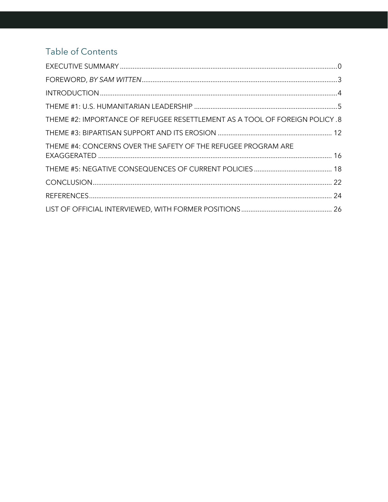### Table of Contents

| THEME #2: IMPORTANCE OF REFUGEE RESETTLEMENT AS A TOOL OF FOREIGN POLICY .8 |  |
|-----------------------------------------------------------------------------|--|
|                                                                             |  |
| THEME #4: CONCERNS OVER THE SAFETY OF THE REFUGEE PROGRAM ARE               |  |
|                                                                             |  |
|                                                                             |  |
|                                                                             |  |
|                                                                             |  |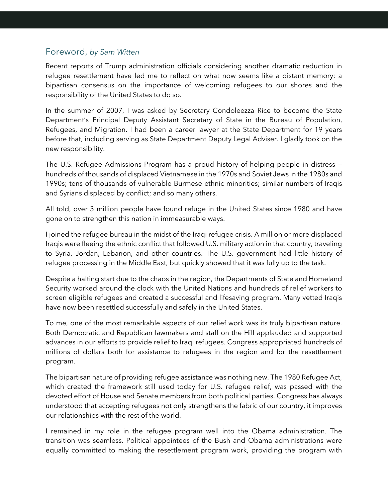#### Foreword, *by Sam Witten*

Recent reports of Trump administration officials considering another dramatic reduction in refugee resettlement have led me to reflect on what now seems like a distant memory: a bipartisan consensus on the importance of welcoming refugees to our shores and the responsibility of the United States to do so.

In the summer of 2007, I was asked by Secretary Condoleezza Rice to become the State Department's Principal Deputy Assistant Secretary of State in the Bureau of Population, Refugees, and Migration. I had been a career lawyer at the State Department for 19 years before that, including serving as State Department Deputy Legal Adviser. I gladly took on the new responsibility.

The U.S. Refugee Admissions Program has a proud history of helping people in distress hundreds of thousands of displaced Vietnamese in the 1970s and Soviet Jews in the 1980s and 1990s; tens of thousands of vulnerable Burmese ethnic minorities; similar numbers of Iraqis and Syrians displaced by conflict; and so many others.

All told, over 3 million people have found refuge in the United States since 1980 and have gone on to strengthen this nation in immeasurable ways.

I joined the refugee bureau in the midst of the Iraqi refugee crisis. A million or more displaced Iraqis were fleeing the ethnic conflict that followed U.S. military action in that country, traveling to Syria, Jordan, Lebanon, and other countries. The U.S. government had little history of refugee processing in the Middle East, but quickly showed that it was fully up to the task.

Despite a halting start due to the chaos in the region, the Departments of State and Homeland Security worked around the clock with the United Nations and hundreds of relief workers to screen eligible refugees and created a successful and lifesaving program. Many vetted Iraqis have now been resettled successfully and safely in the United States.

To me, one of the most remarkable aspects of our relief work was its truly bipartisan nature. Both Democratic and Republican lawmakers and staff on the Hill applauded and supported advances in our efforts to provide relief to Iraqi refugees. Congress appropriated hundreds of millions of dollars both for assistance to refugees in the region and for the resettlement program.

The bipartisan nature of providing refugee assistance was nothing new. The 1980 Refugee Act, which created the framework still used today for U.S. refugee relief, was passed with the devoted effort of House and Senate members from both political parties. Congress has always understood that accepting refugees not only strengthens the fabric of our country, it improves our relationships with the rest of the world.

I remained in my role in the refugee program well into the Obama administration. The transition was seamless. Political appointees of the Bush and Obama administrations were equally committed to making the resettlement program work, providing the program with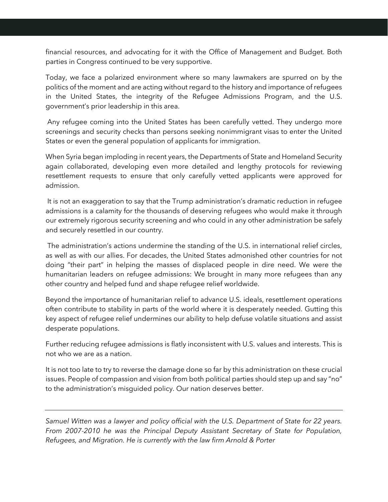financial resources, and advocating for it with the Office of Management and Budget. Both parties in Congress continued to be very supportive.

Today, we face a polarized environment where so many lawmakers are spurred on by the politics of the moment and are acting without regard to the history and importance of refugees in the United States, the integrity of the Refugee Admissions Program, and the U.S. government's prior leadership in this area.

Any refugee coming into the United States has been carefully vetted. They undergo more screenings and security checks than persons seeking nonimmigrant visas to enter the United States or even the general population of applicants for immigration.

When Syria began imploding in recent years, the Departments of State and Homeland Security again collaborated, developing even more detailed and lengthy protocols for reviewing resettlement requests to ensure that only carefully vetted applicants were approved for admission.

It is not an exaggeration to say that the Trump administration's dramatic reduction in refugee admissions is a calamity for the thousands of deserving refugees who would make it through our extremely rigorous security screening and who could in any other administration be safely and securely resettled in our country.

The administration's actions undermine the standing of the U.S. in international relief circles, as well as with our allies. For decades, the United States admonished other countries for not doing "their part" in helping the masses of displaced people in dire need. We were the humanitarian leaders on refugee admissions: We brought in many more refugees than any other country and helped fund and shape refugee relief worldwide.

Beyond the importance of humanitarian relief to advance U.S. ideals, resettlement operations often contribute to stability in parts of the world where it is desperately needed. Gutting this key aspect of refugee relief undermines our ability to help defuse volatile situations and assist desperate populations.

Further reducing refugee admissions is flatly inconsistent with U.S. values and interests. This is not who we are as a nation.

It is not too late to try to reverse the damage done so far by this administration on these crucial issues. People of compassion and vision from both political parties should step up and say "no" to the administration's misguided policy. Our nation deserves better.

*Samuel Witten was a lawyer and policy official with the U.S. Department of State for 22 years. From 2007-2010 he was the Principal Deputy Assistant Secretary of State for Population, Refugees, and Migration. He is currently with the law firm Arnold & Porter*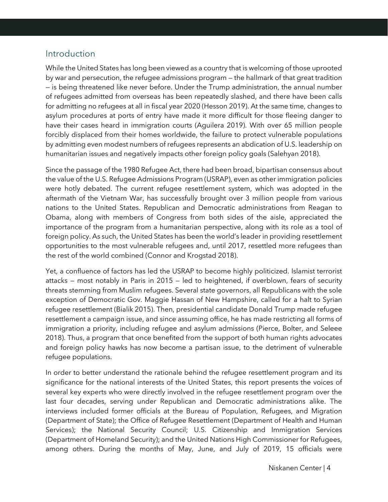#### Introduction

While the United States has long been viewed as a country that is welcoming of those uprooted by war and persecution, the refugee admissions program — the hallmark of that great tradition — is being threatened like never before. Under the Trump administration, the annual number of refugees admitted from overseas has been repeatedly slashed, and there have been calls for admitting no refugees at all in fiscal year 2020 (Hesson 2019). At the same time, changes to asylum procedures at ports of entry have made it more difficult for those fleeing danger to have their cases heard in immigration courts (Aguilera 2019). With over 65 million people forcibly displaced from their homes worldwide, the failure to protect vulnerable populations by admitting even modest numbers of refugees represents an abdication of U.S. leadership on humanitarian issues and negatively impacts other foreign policy goals (Salehyan 2018).

Since the passage of the 1980 Refugee Act, there had been broad, bipartisan consensus about the value of the U.S. Refugee Admissions Program (USRAP), even as other immigration policies were hotly debated. The current refugee resettlement system, which was adopted in the aftermath of the Vietnam War, has successfully brought over 3 million people from various nations to the United States. Republican and Democratic administrations from Reagan to Obama, along with members of Congress from both sides of the aisle, appreciated the importance of the program from a humanitarian perspective, along with its role as a tool of foreign policy. As such, the United States has been the world's leader in providing resettlement opportunities to the most vulnerable refugees and, until 2017, resettled more refugees than the rest of the world combined (Connor and Krogstad 2018).

Yet, a confluence of factors has led the USRAP to become highly politicized. Islamist terrorist attacks — most notably in Paris in 2015 — led to heightened, if overblown, fears of security threats stemming from Muslim refugees. Several state governors, all Republicans with the sole exception of Democratic Gov. Maggie Hassan of New Hampshire, called for a halt to Syrian refugee resettlement (Bialik 2015). Then, presidential candidate Donald Trump made refugee resettlement a campaign issue, and since assuming office, he has made restricting all forms of immigration a priority, including refugee and asylum admissions (Pierce, Bolter, and Seleee 2018). Thus, a program that once benefited from the support of both human rights advocates and foreign policy hawks has now become a partisan issue, to the detriment of vulnerable refugee populations.

In order to better understand the rationale behind the refugee resettlement program and its significance for the national interests of the United States, this report presents the voices of several key experts who were directly involved in the refugee resettlement program over the last four decades, serving under Republican and Democratic administrations alike. The interviews included former officials at the Bureau of Population, Refugees, and Migration (Department of State); the Office of Refugee Resettlement (Department of Health and Human Services); the National Security Council; U.S. Citizenship and Immigration Services (Department of Homeland Security); and the United Nations High Commissioner for Refugees, among others. During the months of May, June, and July of 2019, 15 officials were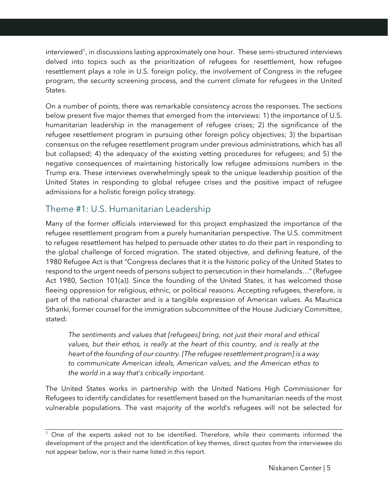interviewed<sup>1</sup>, in discussions lasting approximately one hour. These semi-structured interviews delved into topics such as the prioritization of refugees for resettlement, how refugee resettlement plays a role in U.S. foreign policy, the involvement of Congress in the refugee program, the security screening process, and the current climate for refugees in the United States.

On a number of points, there was remarkable consistency across the responses. The sections below present five major themes that emerged from the interviews: 1) the importance of U.S. humanitarian leadership in the management of refugee crises; 2) the significance of the refugee resettlement program in pursuing other foreign policy objectives; 3) the bipartisan consensus on the refugee resettlement program under previous administrations, which has all but collapsed; 4) the adequacy of the existing vetting procedures for refugees; and 5) the negative consequences of maintaining historically low refugee admissions numbers in the Trump era. These interviews overwhelmingly speak to the unique leadership position of the United States in responding to global refugee crises and the positive impact of refugee admissions for a holistic foreign policy strategy.

#### Theme #1: U.S. Humanitarian Leadership

Many of the former officials interviewed for this project emphasized the importance of the refugee resettlement program from a purely humanitarian perspective. The U.S. commitment to refugee resettlement has helped to persuade other states to do their part in responding to the global challenge of forced migration. The stated objective, and defining feature, of the 1980 Refugee Act is that "Congress declares that it is the historic policy of the United States to respond to the urgent needs of persons subject to persecution in their homelands…" (Refugee Act 1980, Section 101(a)). Since the founding of the United States, it has welcomed those fleeing oppression for religious, ethnic, or political reasons. Accepting refugees, therefore, is part of the national character and is a tangible expression of American values. As Maunica Sthanki, former counsel for the immigration subcommittee of the House Judiciary Committee, stated:

*The sentiments and values that [refugees] bring, not just their moral and ethical values, but their ethos, is really at the heart of this country, and is really at the heart of the founding of our country. [The refugee resettlement program] is a way to communicate American ideals, American values, and the American ethos to the world in a way that's critically important.*

The United States works in partnership with the United Nations High Commissioner for Refugees to identify candidates for resettlement based on the humanitarian needs of the most vulnerable populations. The vast majority of the world's refugees will not be selected for

<sup>&</sup>lt;sup>1</sup> One of the experts asked not to be identified. Therefore, while their comments informed the development of the project and the identification of key themes, direct quotes from the interviewee do not appear below, nor is their name listed in this report.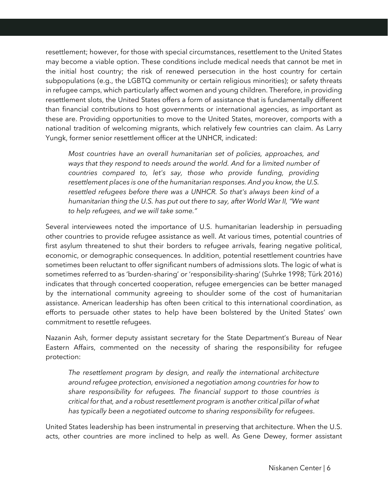resettlement; however, for those with special circumstances, resettlement to the United States may become a viable option. These conditions include medical needs that cannot be met in the initial host country; the risk of renewed persecution in the host country for certain subpopulations (e.g., the LGBTQ community or certain religious minorities); or safety threats in refugee camps, which particularly affect women and young children. Therefore, in providing resettlement slots, the United States offers a form of assistance that is fundamentally different than financial contributions to host governments or international agencies, as important as these are. Providing opportunities to move to the United States, moreover, comports with a national tradition of welcoming migrants, which relatively few countries can claim. As Larry Yungk, former senior resettlement officer at the UNHCR, indicated:

*Most countries have an overall humanitarian set of policies, approaches, and ways that they respond to needs around the world. And for a limited number of countries compared to, let's say, those who provide funding, providing resettlement places is one of the humanitarian responses. And you know, the U.S. resettled refugees before there was a UNHCR. So that's always been kind of a humanitarian thing the U.S. has put out there to say, after World War II, "We want to help refugees, and we will take some."*

Several interviewees noted the importance of U.S. humanitarian leadership in persuading other countries to provide refugee assistance as well. At various times, potential countries of first asylum threatened to shut their borders to refugee arrivals, fearing negative political, economic, or demographic consequences. In addition, potential resettlement countries have sometimes been reluctant to offer significant numbers of admissions slots. The logic of what is sometimes referred to as 'burden-sharing' or 'responsibility-sharing' (Suhrke 1998; Türk 2016) indicates that through concerted cooperation, refugee emergencies can be better managed by the international community agreeing to shoulder some of the cost of humanitarian assistance. American leadership has often been critical to this international coordination, as efforts to persuade other states to help have been bolstered by the United States' own commitment to resettle refugees.

Nazanin Ash, former deputy assistant secretary for the State Department's Bureau of Near Eastern Affairs, commented on the necessity of sharing the responsibility for refugee protection:

*The resettlement program by design, and really the international architecture around refugee protection, envisioned a negotiation among countries for how to share responsibility for refugees. The financial support to those countries is critical for that, and a robust resettlement program is another critical pillar of what has typically been a negotiated outcome to sharing responsibility for refugees*.

United States leadership has been instrumental in preserving that architecture. When the U.S. acts, other countries are more inclined to help as well. As Gene Dewey, former assistant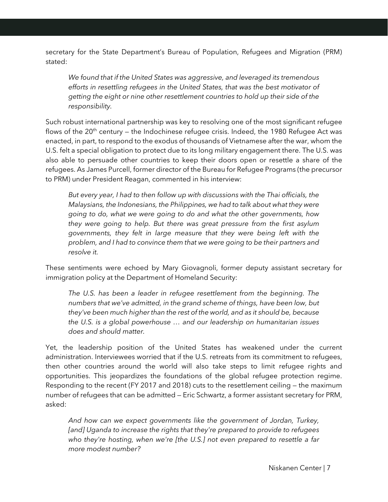secretary for the State Department's Bureau of Population, Refugees and Migration (PRM) stated:

*We found that if the United States was aggressive, and leveraged its tremendous efforts in resettling refugees in the United States, that was the best motivator of getting the eight or nine other resettlement countries to hold up their side of the responsibility.*

Such robust international partnership was key to resolving one of the most significant refugee flows of the  $20<sup>th</sup>$  century – the Indochinese refugee crisis. Indeed, the 1980 Refugee Act was enacted, in part, to respond to the exodus of thousands of Vietnamese after the war, whom the U.S. felt a special obligation to protect due to its long military engagement there. The U.S. was also able to persuade other countries to keep their doors open or resettle a share of the refugees. As James Purcell, former director of the Bureau for Refugee Programs (the precursor to PRM) under President Reagan, commented in his interview:

*But every year, I had to then follow up with discussions with the Thai officials, the Malaysians, the Indonesians, the Philippines, we had to talk about what they were going to do, what we were going to do and what the other governments, how they were going to help. But there was great pressure from the first asylum governments, they felt in large measure that they were being left with the problem, and I had to convince them that we were going to be their partners and resolve it.* 

These sentiments were echoed by Mary Giovagnoli, former deputy assistant secretary for immigration policy at the Department of Homeland Security:

*The U.S. has been a leader in refugee resettlement from the beginning. The numbers that we've admitted, in the grand scheme of things, have been low, but they've been much higher than the rest of the world, and as it should be, because the U.S. is a global powerhouse … and our leadership on humanitarian issues does and should matter.*

Yet, the leadership position of the United States has weakened under the current administration. Interviewees worried that if the U.S. retreats from its commitment to refugees, then other countries around the world will also take steps to limit refugee rights and opportunities. This jeopardizes the foundations of the global refugee protection regime. Responding to the recent (FY 2017 and 2018) cuts to the resettlement ceiling — the maximum number of refugees that can be admitted — Eric Schwartz, a former assistant secretary for PRM, asked:

*And how can we expect governments like the government of Jordan, Turkey, [and] Uganda to increase the rights that they're prepared to provide to refugees who they're hosting, when we're [the U.S.] not even prepared to resettle a far more modest number?*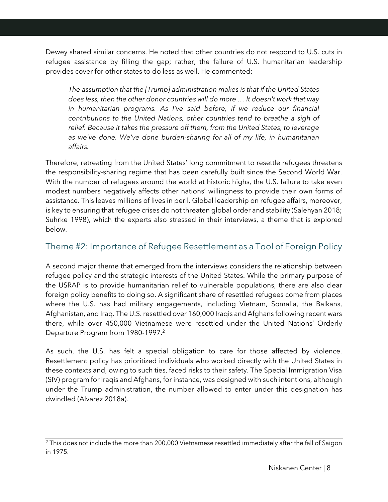Dewey shared similar concerns. He noted that other countries do not respond to U.S. cuts in refugee assistance by filling the gap; rather, the failure of U.S. humanitarian leadership provides cover for other states to do less as well. He commented:

*The assumption that the [Trump] administration makes is that if the United States does less, then the other donor countries will do more … It doesn't work that way in humanitarian programs. As I've said before, if we reduce our financial contributions to the United Nations, other countries tend to breathe a sigh of relief. Because it takes the pressure off them, from the United States, to leverage*  as we've done. We've done burden-sharing for all of my life, in humanitarian *affairs.*

Therefore, retreating from the United States' long commitment to resettle refugees threatens the responsibility-sharing regime that has been carefully built since the Second World War. With the number of refugees around the world at historic highs, the U.S. failure to take even modest numbers negatively affects other nations' willingness to provide their own forms of assistance. This leaves millions of lives in peril. Global leadership on refugee affairs, moreover, is key to ensuring that refugee crises do not threaten global order and stability (Salehyan 2018; Suhrke 1998), which the experts also stressed in their interviews, a theme that is explored below.

#### Theme #2: Importance of Refugee Resettlement as a Tool of Foreign Policy

A second major theme that emerged from the interviews considers the relationship between refugee policy and the strategic interests of the United States. While the primary purpose of the USRAP is to provide humanitarian relief to vulnerable populations, there are also clear foreign policy benefits to doing so. A significant share of resettled refugees come from places where the U.S. has had military engagements, including Vietnam, Somalia, the Balkans, Afghanistan, and Iraq. The U.S. resettled over 160,000 Iraqis and Afghans following recent wars there, while over 450,000 Vietnamese were resettled under the United Nations' Orderly Departure Program from 1980-1997.<sup>2</sup>

As such, the U.S. has felt a special obligation to care for those affected by violence. Resettlement policy has prioritized individuals who worked directly with the United States in these contexts and, owing to such ties, faced risks to their safety. The Special Immigration Visa (SIV) program for Iraqis and Afghans, for instance, was designed with such intentions, although under the Trump administration, the number allowed to enter under this designation has dwindled (Alvarez 2018a).

<sup>&</sup>lt;sup>2</sup> This does not include the more than 200,000 Vietnamese resettled immediately after the fall of Saigon in 1975.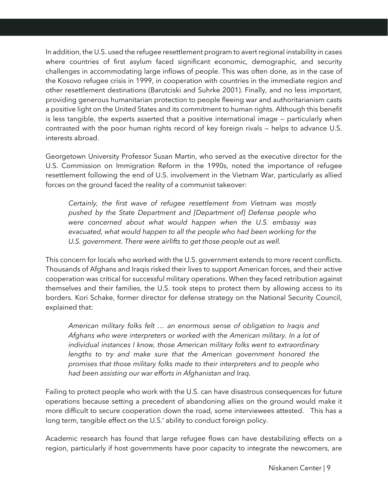In addition, the U.S. used the refugee resettlement program to avert regional instability in cases where countries of first asylum faced significant economic, demographic, and security challenges in accommodating large inflows of people. This was often done, as in the case of the Kosovo refugee crisis in 1999, in cooperation with countries in the immediate region and other resettlement destinations (Barutciski and Suhrke 2001). Finally, and no less important, providing generous humanitarian protection to people fleeing war and authoritarianism casts a positive light on the United States and its commitment to human rights. Although this benefit is less tangible, the experts asserted that a positive international image — particularly when contrasted with the poor human rights record of key foreign rivals — helps to advance U.S. interests abroad.

Georgetown University Professor Susan Martin, who served as the executive director for the U.S. Commission on Immigration Reform in the 1990s, noted the importance of refugee resettlement following the end of U.S. involvement in the Vietnam War, particularly as allied forces on the ground faced the reality of a communist takeover:

*Certainly, the first wave of refugee resettlement from Vietnam was mostly pushed by the State Department and [Department of] Defense people who were concerned about what would happen when the U.S. embassy was evacuated, what would happen to all the people who had been working for the U.S. government. There were airlifts to get those people out as well.*

This concern for locals who worked with the U.S. government extends to more recent conflicts. Thousands of Afghans and Iraqis risked their lives to support American forces, and their active cooperation was critical for successful military operations. When they faced retribution against themselves and their families, the U.S. took steps to protect them by allowing access to its borders. Kori Schake, former director for defense strategy on the National Security Council, explained that:

*American military folks felt … an enormous sense of obligation to Iraqis and Afghans who were interpreters or worked with the American military. In a lot of individual instances I know, those American military folks went to extraordinary lengths to try and make sure that the American government honored the promises that those military folks made to their interpreters and to people who had been assisting our war efforts in Afghanistan and Iraq.*

Failing to protect people who work with the U.S. can have disastrous consequences for future operations because setting a precedent of abandoning allies on the ground would make it more difficult to secure cooperation down the road, some interviewees attested. This has a long term, tangible effect on the U.S.' ability to conduct foreign policy.

Academic research has found that large refugee flows can have destabilizing effects on a region, particularly if host governments have poor capacity to integrate the newcomers, are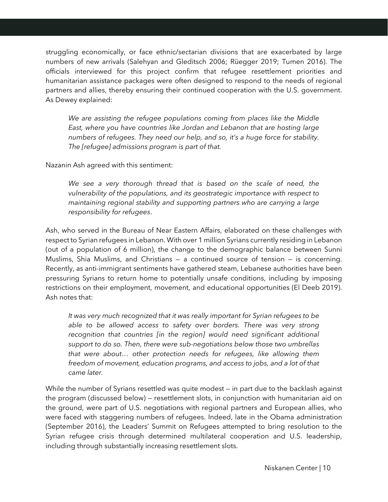struggling economically, or face ethnic/sectarian divisions that are exacerbated by large numbers of new arrivals (Salehyan and Gleditsch 2006; Rüegger 2019; Tumen 2016). The officials interviewed for this project confirm that refugee resettlement priorities and humanitarian assistance packages were often designed to respond to the needs of regional partners and allies, thereby ensuring their continued cooperation with the U.S. government. As Dewey explained:

*We are assisting the refugee populations coming from places like the Middle East, where you have countries like Jordan and Lebanon that are hosting large numbers of refugees. They need our help, and so, it's a huge force for stability. The [refugee] admissions program is part of that.*

Nazanin Ash agreed with this sentiment:

We see a very thorough thread that is based on the scale of need, the *vulnerability of the populations, and its geostrategic importance with respect to maintaining regional stability and supporting partners who are carrying a large responsibility for refugees*.

Ash, who served in the Bureau of Near Eastern Affairs, elaborated on these challenges with respect to Syrian refugees in Lebanon. With over 1 million Syrians currently residing in Lebanon (out of a population of 6 million), the change to the demographic balance between Sunni Muslims, Shia Muslims, and Christians — a continued source of tension — is concerning. Recently, as anti-immigrant sentiments have gathered steam, Lebanese authorities have been pressuring Syrians to return home to potentially unsafe conditions, including by imposing restrictions on their employment, movement, and educational opportunities (El Deeb 2019). Ash notes that:

*It was very much recognized that it was really important for Syrian refugees to be*  able to be allowed access to safety over borders. There was very strong recognition that countries [in the region] would need significant additional *support to do so. Then, there were sub-negotiations below those two umbrellas that were about… other protection needs for refugees, like allowing them freedom of movement, education programs, and access to jobs, and a lot of that came later.* 

While the number of Syrians resettled was quite modest — in part due to the backlash against the program (discussed below) — resettlement slots, in conjunction with humanitarian aid on the ground, were part of U.S. negotiations with regional partners and European allies, who were faced with staggering numbers of refugees. Indeed, late in the Obama administration (September 2016), the Leaders' Summit on Refugees attempted to bring resolution to the Syrian refugee crisis through determined multilateral cooperation and U.S. leadership, including through substantially increasing resettlement slots.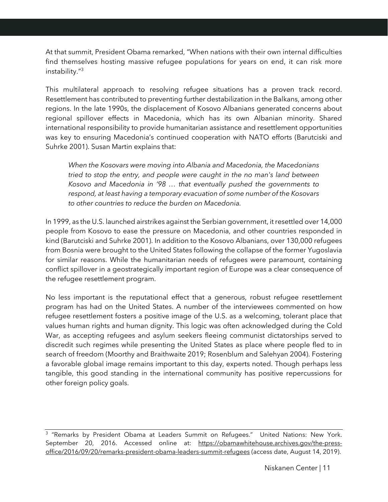At that summit, President Obama remarked, "When nations with their own internal difficulties find themselves hosting massive refugee populations for years on end, it can risk more instability."3

This multilateral approach to resolving refugee situations has a proven track record. Resettlement has contributed to preventing further destabilization in the Balkans, among other regions. In the late 1990s, the displacement of Kosovo Albanians generated concerns about regional spillover effects in Macedonia, which has its own Albanian minority. Shared international responsibility to provide humanitarian assistance and resettlement opportunities was key to ensuring Macedonia's continued cooperation with NATO efforts (Barutciski and Suhrke 2001). Susan Martin explains that:

*When the Kosovars were moving into Albania and Macedonia, the Macedonians tried to stop the entry, and people were caught in the no man's land between Kosovo and Macedonia in '98 … that eventually pushed the governments to respond, at least having a temporary evacuation of some number of the Kosovars to other countries to reduce the burden on Macedonia.*

In 1999, as the U.S. launched airstrikes against the Serbian government, it resettled over 14,000 people from Kosovo to ease the pressure on Macedonia, and other countries responded in kind (Barutciski and Suhrke 2001). In addition to the Kosovo Albanians, over 130,000 refugees from Bosnia were brought to the United States following the collapse of the former Yugoslavia for similar reasons. While the humanitarian needs of refugees were paramount, containing conflict spillover in a geostrategically important region of Europe was a clear consequence of the refugee resettlement program.

No less important is the reputational effect that a generous, robust refugee resettlement program has had on the United States. A number of the interviewees commented on how refugee resettlement fosters a positive image of the U.S. as a welcoming, tolerant place that values human rights and human dignity. This logic was often acknowledged during the Cold War, as accepting refugees and asylum seekers fleeing communist dictatorships served to discredit such regimes while presenting the United States as place where people fled to in search of freedom (Moorthy and Braithwaite 2019; Rosenblum and Salehyan 2004). Fostering a favorable global image remains important to this day, experts noted. Though perhaps less tangible, this good standing in the international community has positive repercussions for other foreign policy goals.

<sup>&</sup>lt;sup>3</sup> "Remarks by President Obama at Leaders Summit on Refugees." United Nations: New York. September 20, 2016. Accessed online at: https://obamawhitehouse.archives.gov/the-pressoffice/2016/09/20/remarks-president-obama-leaders-summit-refugees (access date, August 14, 2019).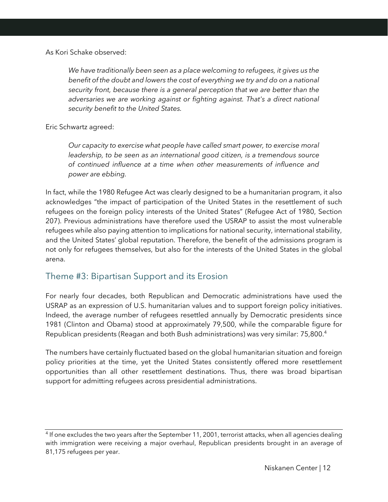*We have traditionally been seen as a place welcoming to refugees, it gives us the benefit of the doubt and lowers the cost of everything we try and do on a national security front, because there is a general perception that we are better than the adversaries we are working against or fighting against. That's a direct national security benefit to the United States.*

#### Eric Schwartz agreed:

*Our capacity to exercise what people have called smart power, to exercise moral leadership, to be seen as an international good citizen, is a tremendous source of continued influence at a time when other measurements of influence and power are ebbing.*

In fact, while the 1980 Refugee Act was clearly designed to be a humanitarian program, it also acknowledges "the impact of participation of the United States in the resettlement of such refugees on the foreign policy interests of the United States" (Refugee Act of 1980, Section 207). Previous administrations have therefore used the USRAP to assist the most vulnerable refugees while also paying attention to implications for national security, international stability, and the United States' global reputation. Therefore, the benefit of the admissions program is not only for refugees themselves, but also for the interests of the United States in the global arena.

#### Theme #3: Bipartisan Support and its Erosion

For nearly four decades, both Republican and Democratic administrations have used the USRAP as an expression of U.S. humanitarian values and to support foreign policy initiatives. Indeed, the average number of refugees resettled annually by Democratic presidents since 1981 (Clinton and Obama) stood at approximately 79,500, while the comparable figure for Republican presidents (Reagan and both Bush administrations) was very similar: 75,800. $^4$ 

The numbers have certainly fluctuated based on the global humanitarian situation and foreign policy priorities at the time, yet the United States consistently offered more resettlement opportunities than all other resettlement destinations. Thus, there was broad bipartisan support for admitting refugees across presidential administrations.

<sup>&</sup>lt;sup>4</sup> If one excludes the two years after the September 11, 2001, terrorist attacks, when all agencies dealing with immigration were receiving a major overhaul, Republican presidents brought in an average of 81,175 refugees per year.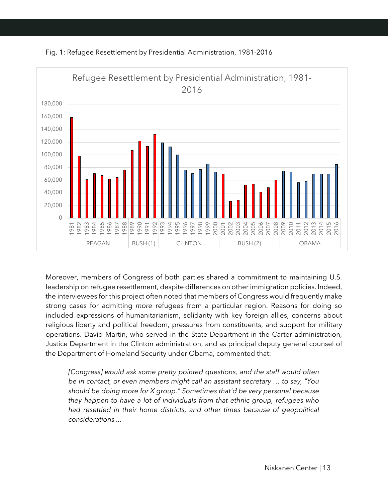

Fig. 1: Refugee Resettlement by Presidential Administration, 1981-2016

Moreover, members of Congress of both parties shared a commitment to maintaining U.S. leadership on refugee resettlement, despite differences on other immigration policies. Indeed, the interviewees for this project often noted that members of Congress would frequently make strong cases for admitting *more* refugees from a particular region. Reasons for doing so included expressions of humanitarianism, solidarity with key foreign allies, concerns about religious liberty and political freedom, pressures from constituents, and support for military operations. David Martin, who served in the State Department in the Carter administration, Justice Department in the Clinton administration, and as principal deputy general counsel of the Department of Homeland Security under Obama, commented that:

*[Congress] would ask some pretty pointed questions, and the staff would often be in contact, or even members might call an assistant secretary … to say, "You should be doing more for X group." Sometimes that'd be very personal because they happen to have a lot of individuals from that ethnic group, refugees who had resettled in their home districts, and other times because of geopolitical considerations ...*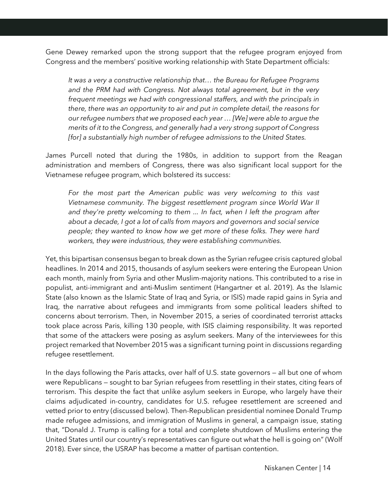Gene Dewey remarked upon the strong support that the refugee program enjoyed from Congress and the members' positive working relationship with State Department officials:

*It was a very a constructive relationship that… the Bureau for Refugee Programs and the PRM had with Congress. Not always total agreement, but in the very frequent meetings we had with congressional staffers, and with the principals in there, there was an opportunity to air and put in complete detail, the reasons for our refugee numbers that we proposed each year … [We] were able to argue the merits of it to the Congress, and generally had a very strong support of Congress [for] a substantially high number of refugee admissions to the United States.* 

James Purcell noted that during the 1980s, in addition to support from the Reagan administration and members of Congress, there was also significant local support for the Vietnamese refugee program, which bolstered its success:

For the most part the American public was very welcoming to this vast *Vietnamese community. The biggest resettlement program since World War II*  and they're pretty welcoming to them ... In fact, when I left the program after *about a decade, I got a lot of calls from mayors and governors and social service people; they wanted to know how we get more of these folks. They were hard workers, they were industrious, they were establishing communities.*

Yet, this bipartisan consensus began to break down as the Syrian refugee crisis captured global headlines. In 2014 and 2015, thousands of asylum seekers were entering the European Union each month, mainly from Syria and other Muslim-majority nations. This contributed to a rise in populist, anti-immigrant and anti-Muslim sentiment (Hangartner et al. 2019). As the Islamic State (also known as the Islamic State of Iraq and Syria, or ISIS) made rapid gains in Syria and Iraq, the narrative about refugees and immigrants from some political leaders shifted to concerns about terrorism. Then, in November 2015, a series of coordinated terrorist attacks took place across Paris, killing 130 people, with ISIS claiming responsibility. It was reported that some of the attackers were posing as asylum seekers. Many of the interviewees for this project remarked that November 2015 was a significant turning point in discussions regarding refugee resettlement.

In the days following the Paris attacks, over half of U.S. state governors — all but one of whom were Republicans — sought to bar Syrian refugees from resettling in their states, citing fears of terrorism. This despite the fact that unlike asylum seekers in Europe, who largely have their claims adjudicated in-country, candidates for U.S. refugee resettlement are screened and vetted prior to entry (discussed below). Then-Republican presidential nominee Donald Trump made refugee admissions, and immigration of Muslims in general, a campaign issue, stating that, "Donald J. Trump is calling for a total and complete shutdown of Muslims entering the United States until our country's representatives can figure out what the hell is going on" (Wolf 2018). Ever since, the USRAP has become a matter of partisan contention.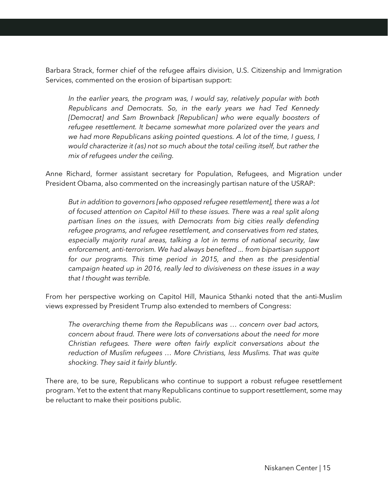Barbara Strack, former chief of the refugee affairs division, U.S. Citizenship and Immigration Services, commented on the erosion of bipartisan support:

*In the earlier years, the program was, I would say, relatively popular with both Republicans and Democrats. So, in the early years we had Ted Kennedy [Democrat] and Sam Brownback [Republican] who were equally boosters of refugee resettlement. It became somewhat more polarized over the years and we had more Republicans asking pointed questions. A lot of the time, I guess, I would characterize it (as) not so much about the total ceiling itself, but rather the mix of refugees under the ceiling.*

Anne Richard, former assistant secretary for Population, Refugees, and Migration under President Obama, also commented on the increasingly partisan nature of the USRAP:

*But in addition to governors [who opposed refugee resettlement], there was a lot of focused attention on Capitol Hill to these issues. There was a real split along partisan lines on the issues, with Democrats from big cities really defending refugee programs, and refugee resettlement, and conservatives from red states, especially majority rural areas, talking a lot in terms of national security, law enforcement, anti-terrorism. We had always benefited ... from bipartisan support*  for our programs. This time period in 2015, and then as the presidential *campaign heated up in 2016, really led to divisiveness on these issues in a way that I thought was terrible.*

From her perspective working on Capitol Hill, Maunica Sthanki noted that the anti-Muslim views expressed by President Trump also extended to members of Congress:

*The overarching theme from the Republicans was … concern over bad actors, concern about fraud. There were lots of conversations about the need for more Christian refugees. There were often fairly explicit conversations about the reduction of Muslim refugees … More Christians, less Muslims. That was quite shocking. They said it fairly bluntly.*

There are, to be sure, Republicans who continue to support a robust refugee resettlement program. Yet to the extent that many Republicans continue to support resettlement, some may be reluctant to make their positions public.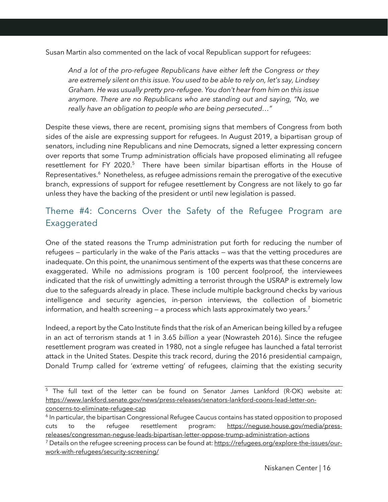Susan Martin also commented on the lack of vocal Republican support for refugees:

*And a lot of the pro-refugee Republicans have either left the Congress or they are extremely silent on this issue. You used to be able to rely on, let's say, Lindsey Graham. He was usually pretty pro-refugee. You don't hear from him on this issue anymore. There are no Republicans who are standing out and saying, "No, we really have an obligation to people who are being persecuted…"*

Despite these views, there are recent, promising signs that members of Congress from both sides of the aisle are expressing support for refugees. In August 2019, a bipartisan group of senators, including nine Republicans and nine Democrats, signed a letter expressing concern over reports that some Trump administration officials have proposed eliminating all refugee resettlement for FY 2020.<sup>5</sup> There have been similar bipartisan efforts in the House of Representatives.<sup>6</sup> Nonetheless, as refugee admissions remain the prerogative of the executive branch, expressions of support for refugee resettlement by Congress are not likely to go far unless they have the backing of the president or until new legislation is passed.

#### Theme #4: Concerns Over the Safety of the Refugee Program are Exaggerated

One of the stated reasons the Trump administration put forth for reducing the number of refugees — particularly in the wake of the Paris attacks — was that the vetting procedures are inadequate. On this point, the unanimous sentiment of the experts was that these concerns are exaggerated. While no admissions program is 100 percent foolproof, the interviewees indicated that the risk of unwittingly admitting a terrorist through the USRAP is extremely low due to the safeguards already in place. These include multiple background checks by various intelligence and security agencies, in-person interviews, the collection of biometric information, and health screening – a process which lasts approximately two years.<sup>7</sup>

Indeed, a report by the Cato Institute finds that the risk of an American being killed by a refugee in an act of terrorism stands at 1 in 3.65 *billion* a year (Nowrasteh 2016). Since the refugee resettlement program was created in 1980, not a single refugee has launched a fatal terrorist attack in the United States. Despite this track record, during the 2016 presidential campaign, Donald Trump called for 'extreme vetting' of refugees, claiming that the existing security

<sup>&</sup>lt;sup>5</sup> The full text of the letter can be found on Senator James Lankford (R-OK) website at: https://www.lankford.senate.gov/news/press-releases/senators-lankford-coons-lead-letter-on-

concerns-to-eliminate-refugee-cap

<sup>6</sup> In particular, the bipartisan Congressional Refugee Caucus contains has stated opposition to proposed cuts to the refugee resettlement program: https://neguse.house.gov/media/pressreleases/congressman-neguse-leads-bipartisan-letter-oppose-trump-administration-actions

<sup>7</sup> Details on the refugee screening process can be found at: https://refugees.org/explore-the-issues/ourwork-with-refugees/security-screening/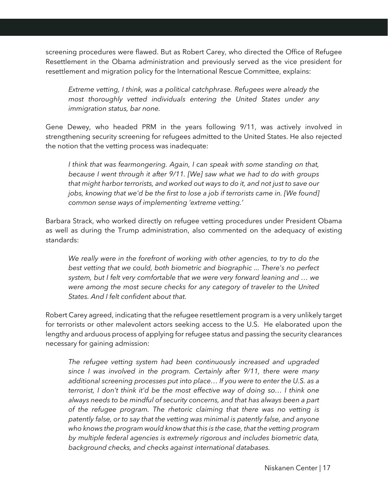screening procedures were flawed. But as Robert Carey, who directed the Office of Refugee Resettlement in the Obama administration and previously served as the vice president for resettlement and migration policy for the International Rescue Committee, explains:

*Extreme vetting, I think, was a political catchphrase. Refugees were already the most thoroughly vetted individuals entering the United States under any immigration status, bar none.*

Gene Dewey, who headed PRM in the years following 9/11, was actively involved in strengthening security screening for refugees admitted to the United States. He also rejected the notion that the vetting process was inadequate:

*I think that was fearmongering. Again, I can speak with some standing on that, because I went through it after 9/11. [We] saw what we had to do with groups that might harbor terrorists, and worked out ways to do it, and not just to save our jobs, knowing that we'd be the first to lose a job if terrorists came in. [We found] common sense ways of implementing 'extreme vetting.'* 

Barbara Strack, who worked directly on refugee vetting procedures under President Obama as well as during the Trump administration, also commented on the adequacy of existing standards:

*We really were in the forefront of working with other agencies, to try to do the best vetting that we could, both biometric and biographic ... There's no perfect system, but I felt very comfortable that we were very forward leaning and … we*  were among the most secure checks for any category of traveler to the United *States. And I felt confident about that.* 

Robert Carey agreed, indicating that the refugee resettlement program is a very unlikely target for terrorists or other malevolent actors seeking access to the U.S. He elaborated upon the lengthy and arduous process of applying for refugee status and passing the security clearances necessary for gaining admission:

*The refugee vetting system had been continuously increased and upgraded since I was involved in the program. Certainly after 9/11, there were many additional screening processes put into place… If you were to enter the U.S. as a terrorist, I don't think it'd be the most effective way of doing so… I think one always needs to be mindful of security concerns, and that has always been a part of the refugee program. The rhetoric claiming that there was no vetting is patently false, or to say that the vetting was minimal is patently false, and anyone who knows the program would know that this is the case, that the vetting program by multiple federal agencies is extremely rigorous and includes biometric data, background checks, and checks against international databases.*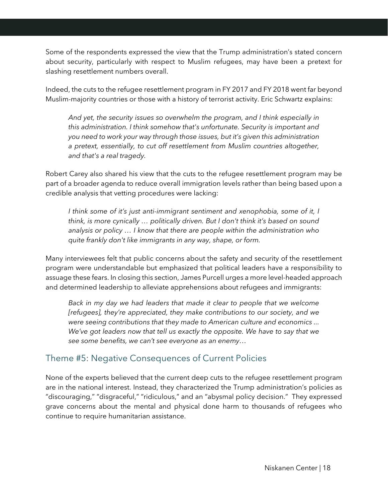Some of the respondents expressed the view that the Trump administration's stated concern about security, particularly with respect to Muslim refugees, may have been a pretext for slashing resettlement numbers overall.

Indeed, the cuts to the refugee resettlement program in FY 2017 and FY 2018 went far beyond Muslim-majority countries or those with a history of terrorist activity. Eric Schwartz explains:

*And yet, the security issues so overwhelm the program, and I think especially in this administration. I think somehow that's unfortunate. Security is important and you need to work your way through those issues, but it's given this administration a pretext, essentially, to cut off resettlement from Muslim countries altogether, and that's a real tragedy.* 

Robert Carey also shared his view that the cuts to the refugee resettlement program may be part of a broader agenda to reduce overall immigration levels rather than being based upon a credible analysis that vetting procedures were lacking:

*I think some of it's just anti-immigrant sentiment and xenophobia, some of it, I think, is more cynically … politically driven. But I don't think it's based on sound analysis or policy … I know that there are people within the administration who quite frankly don't like immigrants in any way, shape, or form.*

Many interviewees felt that public concerns about the safety and security of the resettlement program were understandable but emphasized that political leaders have a responsibility to assuage these fears. In closing this section, James Purcell urges a more level-headed approach and determined leadership to alleviate apprehensions about refugees and immigrants:

*Back in my day we had leaders that made it clear to people that we welcome [refugees], they're appreciated, they make contributions to our society, and we were seeing contributions that they made to American culture and economics ...*  We've got leaders now that tell us exactly the opposite. We have to say that we *see some benefits, we can't see everyone as an enemy…*

#### Theme #5: Negative Consequences of Current Policies

None of the experts believed that the current deep cuts to the refugee resettlement program are in the national interest. Instead, they characterized the Trump administration's policies as "discouraging," "disgraceful," "ridiculous," and an "abysmal policy decision." They expressed grave concerns about the mental and physical done harm to thousands of refugees who continue to require humanitarian assistance.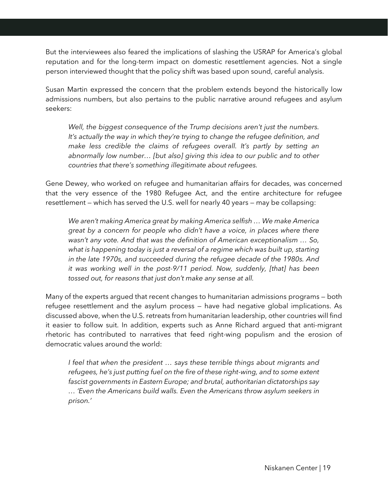But the interviewees also feared the implications of slashing the USRAP for America's global reputation and for the long-term impact on domestic resettlement agencies. Not a single person interviewed thought that the policy shift was based upon sound, careful analysis.

Susan Martin expressed the concern that the problem extends beyond the historically low admissions numbers, but also pertains to the public narrative around refugees and asylum seekers:

*Well, the biggest consequence of the Trump decisions aren't just the numbers. It's actually the way in which they're trying to change the refugee definition, and make less credible the claims of refugees overall. It's partly by setting an abnormally low number… [but also] giving this idea to our public and to other countries that there's something illegitimate about refugees.*

Gene Dewey, who worked on refugee and humanitarian affairs for decades, was concerned that the very essence of the 1980 Refugee Act, and the entire architecture for refugee resettlement — which has served the U.S. well for nearly 40 years — may be collapsing:

*We aren't making America great by making America selfish … We make America great by a concern for people who didn't have a voice, in places where there wasn't any vote. And that was the definition of American exceptionalism … So,*  what is happening today is just a reversal of a regime which was built up, starting *in the late 1970s, and succeeded during the refugee decade of the 1980s. And it was working well in the post-9/11 period. Now, suddenly, [that] has been tossed out, for reasons that just don't make any sense at all.*

Many of the experts argued that recent changes to humanitarian admissions programs — both refugee resettlement and the asylum process — have had negative global implications. As discussed above, when the U.S. retreats from humanitarian leadership, other countries will find it easier to follow suit. In addition, experts such as Anne Richard argued that anti-migrant rhetoric has contributed to narratives that feed right-wing populism and the erosion of democratic values around the world:

*I feel that when the president … says these terrible things about migrants and refugees, he's just putting fuel on the fire of these right-wing, and to some extent fascist governments in Eastern Europe; and brutal, authoritarian dictatorships say … 'Even the Americans build walls. Even the Americans throw asylum seekers in prison.'*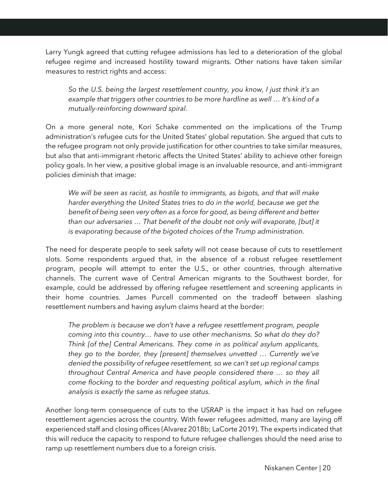Larry Yungk agreed that cutting refugee admissions has led to a deterioration of the global refugee regime and increased hostility toward migrants. Other nations have taken similar measures to restrict rights and access:

*So the U.S. being the largest resettlement country, you know, I just think it's an example that triggers other countries to be more hardline as well … It's kind of a mutually-reinforcing downward spiral*.

On a more general note, Kori Schake commented on the implications of the Trump administration's refugee cuts for the United States' global reputation. She argued that cuts to the refugee program not only provide justification for other countries to take similar measures, but also that anti-immigrant rhetoric affects the United States' ability to achieve other foreign policy goals. In her view, a positive global image is an invaluable resource, and anti-immigrant policies diminish that image:

*We will be seen as racist, as hostile to immigrants, as bigots, and that will make harder everything the United States tries to do in the world, because we get the benefit of being seen very often as a force for good, as being different and better than our adversaries … That benefit of the doubt not only will evaporate, [but] it is evaporating because of the bigoted choices of the Trump administration.* 

The need for desperate people to seek safety will not cease because of cuts to resettlement slots. Some respondents argued that, in the absence of a robust refugee resettlement program, people will attempt to enter the U.S., or other countries, through alternative channels. The current wave of Central American migrants to the Southwest border, for example, could be addressed by offering refugee resettlement and screening applicants in their home countries. James Purcell commented on the tradeoff between slashing resettlement numbers and having asylum claims heard at the border:

*The problem is because we don't have a refugee resettlement program, people coming into this country… have to use other mechanisms. So what do they do? Think [of the] Central Americans. They come in as political asylum applicants, they go to the border, they [present] themselves unvetted … Currently we've denied the possibility of refugee resettlement, so we can't set up regional camps throughout Central America and have people considered there … so they all come flocking to the border and requesting political asylum, which in the final analysis is exactly the same as refugee status.* 

Another long-term consequence of cuts to the USRAP is the impact it has had on refugee resettlement agencies across the country. With fewer refugees admitted, many are laying off experienced staff and closing offices (Alvarez 2018b; LaCorte 2019). The experts indicated that this will reduce the capacity to respond to future refugee challenges should the need arise to ramp up resettlement numbers due to a foreign crisis.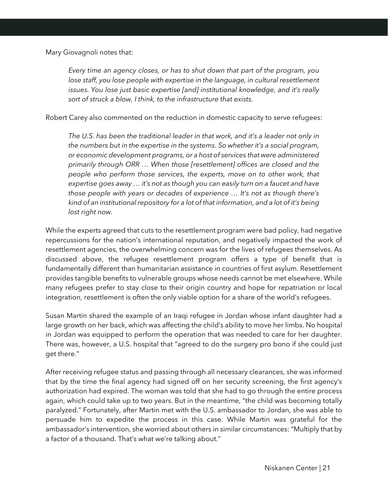Mary Giovagnoli notes that:

*Every time an agency closes, or has to shut down that part of the program, you*  lose staff, you lose people with expertise in the language, in cultural resettlement *issues. You lose just basic expertise [and] institutional knowledge, and it's really sort of struck a blow, I think, to the infrastructure that exists.* 

Robert Carey also commented on the reduction in domestic capacity to serve refugees:

*The U.S. has been the traditional leader in that work, and it's a leader not only in the numbers but in the expertise in the systems. So whether it's a social program, or economic development programs, or a host of services that were administered primarily through ORR … When those [resettlement] offices are closed and the people who perform those services, the experts, move on to other work, that expertise goes away … it's not as though you can easily turn on a faucet and have those people with years or decades of experience … It's not as though there's kind of an institutional repository for a lot of that information, and a lot of it's being lost right now.*

While the experts agreed that cuts to the resettlement program were bad policy, had negative repercussions for the nation's international reputation, and negatively impacted the work of resettlement agencies, the overwhelming concern was for the lives of refugees themselves. As discussed above, the refugee resettlement program offers a type of benefit that is fundamentally different than humanitarian assistance in countries of first asylum. Resettlement provides tangible benefits to vulnerable groups whose needs cannot be met elsewhere. While many refugees prefer to stay close to their origin country and hope for repatriation or local integration, resettlement is often the only viable option for a share of the world's refugees.

Susan Martin shared the example of an Iraqi refugee in Jordan whose infant daughter had a large growth on her back, which was affecting the child's ability to move her limbs. No hospital in Jordan was equipped to perform the operation that was needed to care for her daughter. There was, however, a U.S. hospital that "agreed to do the surgery pro bono if she could just get there."

After receiving refugee status and passing through all necessary clearances, she was informed that by the time the final agency had signed off on her security screening, the first agency's authorization had expired. The woman was told that she had to go through the entire process again, which could take up to two years. But in the meantime, "the child was becoming totally paralyzed." Fortunately, after Martin met with the U.S. ambassador to Jordan, she was able to persuade him to expedite the process in this case. While Martin was grateful for the ambassador's intervention, she worried about others in similar circumstances: "Multiply that by a factor of a thousand. That's what we're talking about."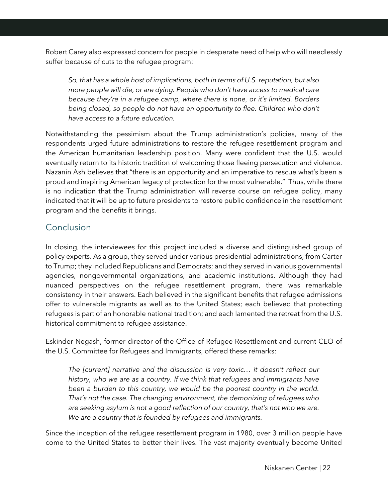Robert Carey also expressed concern for people in desperate need of help who will needlessly suffer because of cuts to the refugee program:

*So, that has a whole host of implications, both in terms of U.S. reputation, but also more people will die, or are dying. People who don't have access to medical care because they're in a refugee camp, where there is none, or it's limited. Borders being closed, so people do not have an opportunity to flee. Children who don't have access to a future education.* 

Notwithstanding the pessimism about the Trump administration's policies, many of the respondents urged future administrations to restore the refugee resettlement program and the American humanitarian leadership position. Many were confident that the U.S. would eventually return to its historic tradition of welcoming those fleeing persecution and violence. Nazanin Ash believes that "there is an opportunity and an imperative to rescue what's been a proud and inspiring American legacy of protection for the most vulnerable." Thus, while there is no indication that the Trump administration will reverse course on refugee policy, many indicated that it will be up to future presidents to restore public confidence in the resettlement program and the benefits it brings.

#### Conclusion

In closing, the interviewees for this project included a diverse and distinguished group of policy experts. As a group, they served under various presidential administrations, from Carter to Trump; they included Republicans and Democrats; and they served in various governmental agencies, nongovernmental organizations, and academic institutions. Although they had nuanced perspectives on the refugee resettlement program, there was remarkable consistency in their answers. Each believed in the significant benefits that refugee admissions offer to vulnerable migrants as well as to the United States; each believed that protecting refugees is part of an honorable national tradition; and each lamented the retreat from the U.S. historical commitment to refugee assistance.

Eskinder Negash, former director of the Office of Refugee Resettlement and current CEO of the U.S. Committee for Refugees and Immigrants, offered these remarks:

*The [current] narrative and the discussion is very toxic… it doesn't reflect our history, who we are as a country. If we think that refugees and immigrants have been a burden to this country, we would be the poorest country in the world. That's not the case. The changing environment, the demonizing of refugees who are seeking asylum is not a good reflection of our country, that's not who we are. We are a country that is founded by refugees and immigrants.* 

Since the inception of the refugee resettlement program in 1980, over 3 million people have come to the United States to better their lives. The vast majority eventually become United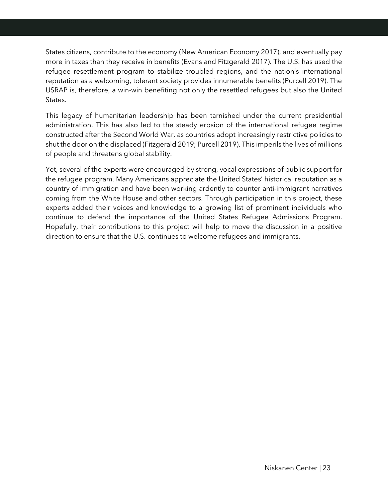States citizens, contribute to the economy (New American Economy 2017), and eventually pay more in taxes than they receive in benefits (Evans and Fitzgerald 2017). The U.S. has used the refugee resettlement program to stabilize troubled regions, and the nation's international reputation as a welcoming, tolerant society provides innumerable benefits (Purcell 2019). The USRAP is, therefore, a win-win benefiting not only the resettled refugees but also the United States.

This legacy of humanitarian leadership has been tarnished under the current presidential administration. This has also led to the steady erosion of the international refugee regime constructed after the Second World War, as countries adopt increasingly restrictive policies to shut the door on the displaced (Fitzgerald 2019; Purcell 2019). This imperils the lives of millions of people and threatens global stability.

Yet, several of the experts were encouraged by strong, vocal expressions of public support for the refugee program. Many Americans appreciate the United States' historical reputation as a country of immigration and have been working ardently to counter anti-immigrant narratives coming from the White House and other sectors. Through participation in this project, these experts added their voices and knowledge to a growing list of prominent individuals who continue to defend the importance of the United States Refugee Admissions Program. Hopefully, their contributions to this project will help to move the discussion in a positive direction to ensure that the U.S. continues to welcome refugees and immigrants.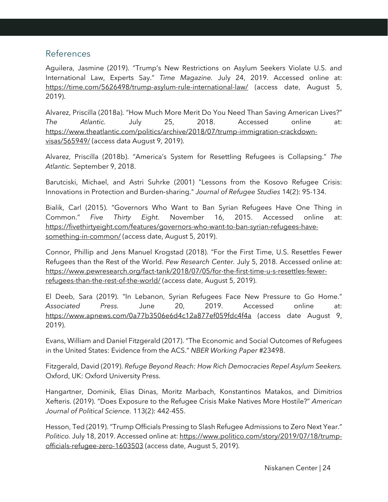#### References

Aguilera, Jasmine (2019). "Trump's New Restrictions on Asylum Seekers Violate U.S. and International Law, Experts Say." *Time Magazine.* July 24, 2019. Accessed online at: https://time.com/5626498/trump-asylum-rule-international-law/ (access date, August 5, 2019).

Alvarez, Priscilla (2018a). "How Much More Merit Do You Need Than Saving American Lives?" *The Atlantic.* July 25, 2018. Accessed online at: https://www.theatlantic.com/politics/archive/2018/07/trump-immigration-crackdownvisas/565949/ (access data August 9, 2019).

Alvarez, Priscilla (2018b). "America's System for Resettling Refugees is Collapsing." *The Atlantic.* September 9, 2018.

Barutciski, Michael, and Astri Suhrke (2001) "Lessons from the Kosovo Refugee Crisis: Innovations in Protection and Burden-sharing." *Journal of Refugee Studies* 14(2): 95-134.

Bialik, Carl (2015). "Governors Who Want to Ban Syrian Refugees Have One Thing in Common." *Five Thirty Eight.* November 16, 2015. Accessed online at: https://fivethirtyeight.com/features/governors-who-want-to-ban-syrian-refugees-havesomething-in-common/ (access date, August 5, 2019).

Connor, Phillip and Jens Manuel Krogstad (2018). "For the First Time, U.S. Resettles Fewer Refugees than the Rest of the World. *Pew Research Center.* July 5, 2018. Accessed online at: https://www.pewresearch.org/fact-tank/2018/07/05/for-the-first-time-u-s-resettles-fewerrefugees-than-the-rest-of-the-world/ (access date, August 5, 2019).

El Deeb, Sara (2019). "In Lebanon, Syrian Refugees Face New Pressure to Go Home." *Associated Press.* June 20, 2019. Accessed online at: https://www.apnews.com/0a77b3506e6d4c12a877ef059fdc4f4a (access date August 9, 2019).

Evans, William and Daniel Fitzgerald (2017). "The Economic and Social Outcomes of Refugees in the United States: Evidence from the ACS." *NBER Working Paper* #23498.

Fitzgerald, David (2019). *Refuge Beyond Reach: How Rich Democracies Repel Asylum Seekers.*  Oxford, UK: Oxford University Press.

Hangartner, Dominik, Elias Dinas, Moritz Marbach, Konstantinos Matakos, and Dimitrios Xefteris. (2019). "Does Exposure to the Refugee Crisis Make Natives More Hostile?" *American Journal of Political Science.* 113(2): 442-455.

Hesson, Ted (2019). "Trump Officials Pressing to Slash Refugee Admissions to Zero Next Year." *Politico.* July 18, 2019. Accessed online at: https://www.politico.com/story/2019/07/18/trumpofficials-refugee-zero-1603503 (access date, August 5, 2019).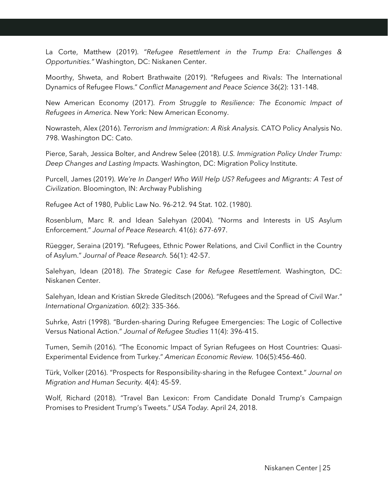La Corte, Matthew (2019). "*Refugee Resettlement in the Trump Era: Challenges & Opportunities."* Washington, DC: Niskanen Center.

Moorthy, Shweta, and Robert Brathwaite (2019). "Refugees and Rivals: The International Dynamics of Refugee Flows." *Conflict Management and Peace Science* 36(2): 131-148.

New American Economy (2017). *From Struggle to Resilience: The Economic Impact of Refugees in America.* New York: New American Economy.

Nowrasteh, Alex (2016). *Terrorism and Immigration: A Risk Analysis.* CATO Policy Analysis No. 798. Washington DC: Cato.

Pierce, Sarah, Jessica Bolter, and Andrew Selee (2018). *U.S. Immigration Policy Under Trump: Deep Changes and Lasting Impacts.* Washington, DC: Migration Policy Institute.

Purcell, James (2019). *We're In Danger! Who Will Help US? Refugees and Migrants: A Test of Civilization.* Bloomington, IN: Archway Publishing

Refugee Act of 1980, Public Law No. 96-212. 94 Stat. 102. (1980).

Rosenblum, Marc R. and Idean Salehyan (2004). "Norms and Interests in US Asylum Enforcement." *Journal of Peace Research.* 41(6): 677-697.

Rüegger, Seraina (2019). "Refugees, Ethnic Power Relations, and Civil Conflict in the Country of Asylum." *Journal of Peace Research.* 56(1): 42-57.

Salehyan, Idean (2018). *The Strategic Case for Refugee Resettlement.* Washington, DC: Niskanen Center.

Salehyan, Idean and Kristian Skrede Gleditsch (2006). "Refugees and the Spread of Civil War." *International Organization.* 60(2): 335-366.

Suhrke, Astri (1998). "Burden-sharing During Refugee Emergencies: The Logic of Collective Versus National Action." *Journal of Refugee Studies* 11(4): 396-415.

Tumen, Semih (2016). "The Economic Impact of Syrian Refugees on Host Countries: Quasi-Experimental Evidence from Turkey." *American Economic Review.* 106(5):456-460.

Türk, Volker (2016). "Prospects for Responsibility-sharing in the Refugee Context." *Journal on Migration and Human Security.* 4(4): 45-59.

Wolf, Richard (2018). "Travel Ban Lexicon: From Candidate Donald Trump's Campaign Promises to President Trump's Tweets." *USA Today.* April 24, 2018.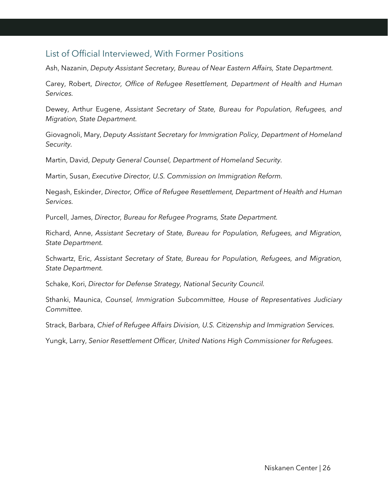#### List of Official Interviewed, With Former Positions

Ash, Nazanin, *Deputy Assistant Secretary, Bureau of Near Eastern Affairs, State Department.*

Carey, Robert, *Director, Office of Refugee Resettlement, Department of Health and Human Services.*

Dewey, Arthur Eugene, *Assistant Secretary of State, Bureau for Population, Refugees, and Migration, State Department.*

Giovagnoli, Mary, *Deputy Assistant Secretary for Immigration Policy, Department of Homeland Security.*

Martin, David, *Deputy General Counsel, Department of Homeland Security.* 

Martin, Susan, *Executive Director, U.S. Commission on Immigration Reform.*

Negash, Eskinder, *Director, Office of Refugee Resettlement, Department of Health and Human Services.*

Purcell, James, *Director, Bureau for Refugee Programs, State Department.*

Richard, Anne, *Assistant Secretary of State, Bureau for Population, Refugees, and Migration, State Department.*

Schwartz, Eric, *Assistant Secretary of State, Bureau for Population, Refugees, and Migration, State Department.*

Schake, Kori, *Director for Defense Strategy, National Security Council.*

Sthanki, Maunica, *Counsel, Immigration Subcommittee, House of Representatives Judiciary Committee.*

Strack, Barbara, *Chief of Refugee Affairs Division, U.S. Citizenship and Immigration Services.*

Yungk, Larry, *Senior Resettlement Officer, United Nations High Commissioner for Refugees.*